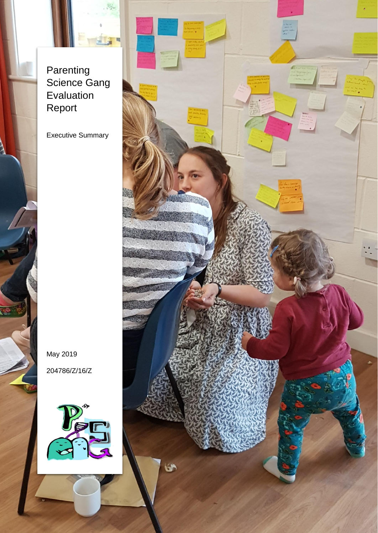Parenting Science Gang Evaluation Report

Executive Summary

May 2019 204786/Z/16/Z



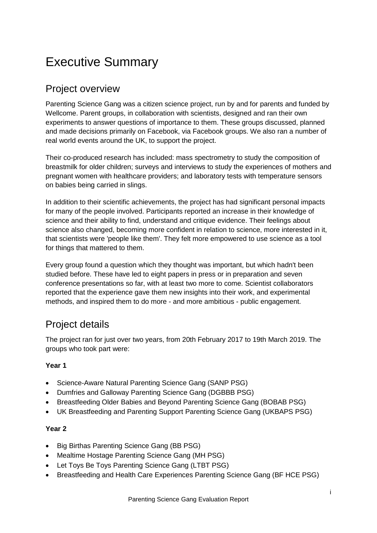# Executive Summary

# Project overview

Parenting Science Gang was a citizen science project, run by and for parents and funded by Wellcome. Parent groups, in collaboration with scientists, designed and ran their own experiments to answer questions of importance to them. These groups discussed, planned and made decisions primarily on Facebook, via Facebook groups. We also ran a number of real world events around the UK, to support the project.

Their co-produced research has included: mass spectrometry to study the composition of breastmilk for older children; surveys and interviews to study the experiences of mothers and pregnant women with healthcare providers; and laboratory tests with temperature sensors on babies being carried in slings.

In addition to their scientific achievements, the project has had significant personal impacts for many of the people involved. Participants reported an increase in their knowledge of science and their ability to find, understand and critique evidence. Their feelings about science also changed, becoming more confident in relation to science, more interested in it, that scientists were 'people like them'. They felt more empowered to use science as a tool for things that mattered to them.

Every group found a question which they thought was important, but which hadn't been studied before. These have led to eight papers in press or in preparation and seven conference presentations so far, with at least two more to come. Scientist collaborators reported that the experience gave them new insights into their work, and experimental methods, and inspired them to do more - and more ambitious - public engagement.

# Project details

The project ran for just over two years, from 20th February 2017 to 19th March 2019. The groups who took part were:

#### **Year 1**

- Science-Aware Natural Parenting Science Gang (SANP PSG)
- Dumfries and Galloway Parenting Science Gang (DGBBB PSG)
- Breastfeeding Older Babies and Beyond Parenting Science Gang (BOBAB PSG)
- UK Breastfeeding and Parenting Support Parenting Science Gang (UKBAPS PSG)

#### **Year 2**

- Big Birthas Parenting Science Gang (BB PSG)
- Mealtime Hostage Parenting Science Gang (MH PSG)
- Let Toys Be Toys Parenting Science Gang (LTBT PSG)
- Breastfeeding and Health Care Experiences Parenting Science Gang (BF HCE PSG)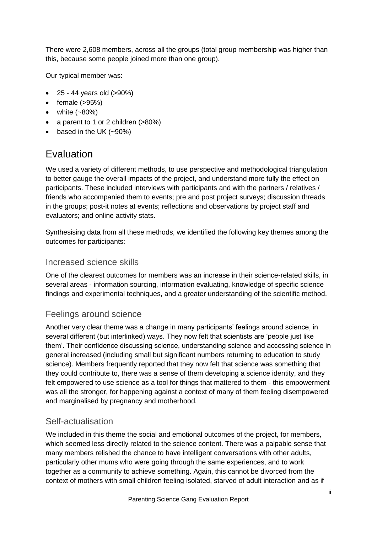There were 2,608 members, across all the groups (total group membership was higher than this, because some people joined more than one group).

Our typical member was:

- 25 44 years old (>90%)
- $\bullet$  female ( $>95\%$ )
- white  $(-80%)$
- a parent to 1 or 2 children (>80%)
- based in the UK (~90%)

## Evaluation

We used a variety of different methods, to use perspective and methodological triangulation to better gauge the overall impacts of the project, and understand more fully the effect on participants. These included interviews with participants and with the partners / relatives / friends who accompanied them to events; pre and post project surveys; discussion threads in the groups; post-it notes at events; reflections and observations by project staff and evaluators; and online activity stats.

Synthesising data from all these methods, we identified the following key themes among the outcomes for participants:

#### Increased science skills

One of the clearest outcomes for members was an increase in their science-related skills, in several areas - information sourcing, information evaluating, knowledge of specific science findings and experimental techniques, and a greater understanding of the scientific method.

#### Feelings around science

Another very clear theme was a change in many participants' feelings around science, in several different (but interlinked) ways. They now felt that scientists are 'people just like them'. Their confidence discussing science, understanding science and accessing science in general increased (including small but significant numbers returning to education to study science). Members frequently reported that they now felt that science was something that they could contribute to, there was a sense of them developing a science identity, and they felt empowered to use science as a tool for things that mattered to them - this empowerment was all the stronger, for happening against a context of many of them feeling disempowered and marginalised by pregnancy and motherhood.

#### Self-actualisation

We included in this theme the social and emotional outcomes of the project, for members, which seemed less directly related to the science content. There was a palpable sense that many members relished the chance to have intelligent conversations with other adults, particularly other mums who were going through the same experiences, and to work together as a community to achieve something. Again, this cannot be divorced from the context of mothers with small children feeling isolated, starved of adult interaction and as if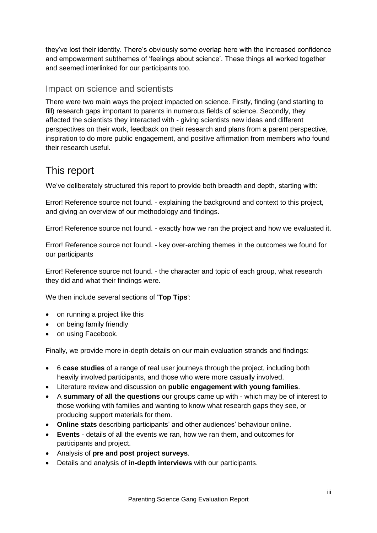they've lost their identity. There's obviously some overlap here with the increased confidence and empowerment subthemes of 'feelings about science'. These things all worked together and seemed interlinked for our participants too.

#### Impact on science and scientists

There were two main ways the project impacted on science. Firstly, finding (and starting to fill) research gaps important to parents in numerous fields of science. Secondly, they affected the scientists they interacted with - giving scientists new ideas and different perspectives on their work, feedback on their research and plans from a parent perspective, inspiration to do more public engagement, and positive affirmation from members who found their research useful.

### This report

We've deliberately structured this report to provide both breadth and depth, starting with:

Error! Reference source not found. - explaining the background and context to this project, and giving an overview of our methodology and findings.

Error! Reference source not found. - exactly how we ran the project and how we evaluated it.

Error! Reference source not found. - key over-arching themes in the outcomes we found for our participants

Error! Reference source not found. - the character and topic of each group, what research they did and what their findings were.

We then include several sections of '**Top Tips**':

- on running a project like this
- on being family friendly
- on using Facebook.

Finally, we provide more in-depth details on our main evaluation strands and findings:

- 6 **case studies** of a range of real user journeys through the project, including both heavily involved participants, and those who were more casually involved.
- Literature review and discussion on **public engagement with young families**.
- A **summary of all the questions** our groups came up with which may be of interest to those working with families and wanting to know what research gaps they see, or producing support materials for them.
- **Online stats** describing participants' and other audiences' behaviour online.
- **Events** details of all the events we ran, how we ran them, and outcomes for participants and project.
- Analysis of **pre and post project surveys**.
- Details and analysis of **in-depth interviews** with our participants.